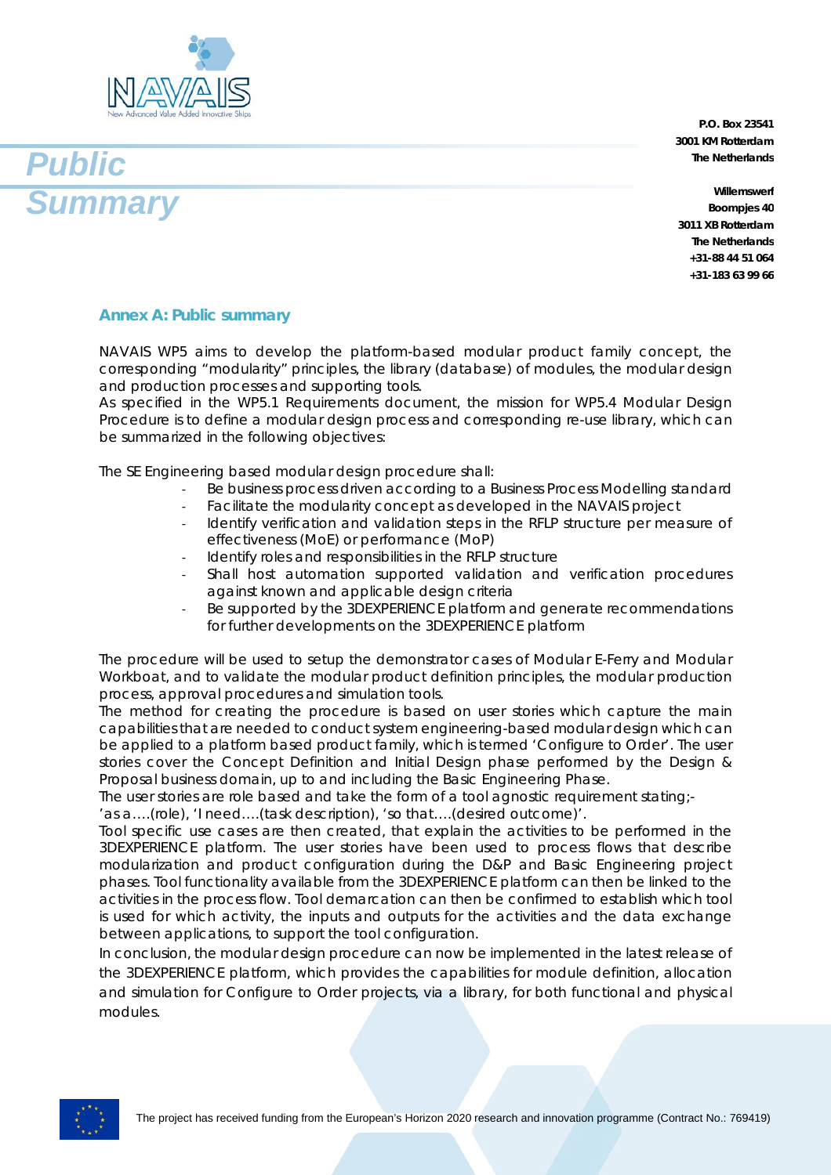



**P.O. Box 23541 3001 KM Rotterdam The Netherlands**

**Willemswerf Boompjes 40 3011 XB Rotterdam The Netherlands +31-88 44 51 064 +31-183 63 99 66**

## **Annex A: Public summary**

NAVAIS WP5 aims to develop the platform-based modular product family concept, the corresponding "modularity" principles, the library (database) of modules, the modular design and production processes and supporting tools.

As specified in the WP5.1 Requirements document, the mission for WP5.4 Modular Design Procedure is to define a modular design process and corresponding re-use library, which can be summarized in the following objectives:

The SE Engineering based modular design procedure shall:

- Be business process driven according to a Business Process Modelling standard
- Facilitate the modularity concept as developed in the NAVAIS project
- Identify verification and validation steps in the RFLP structure per measure of effectiveness (MoE) or performance (MoP)
- Identify roles and responsibilities in the RFLP structure
- Shall host automation supported validation and verification procedures against known and applicable design criteria
- Be supported by the 3DEXPERIENCE platform and generate recommendations for further developments on the 3DEXPERIENCE platform

The procedure will be used to setup the demonstrator cases of Modular E-Ferry and Modular Workboat, and to validate the modular product definition principles, the modular production process, approval procedures and simulation tools.

The method for creating the procedure is based on user stories which capture the main capabilities that are needed to conduct system engineering-based modular design which can be applied to a platform based product family, which is termed 'Configure to Order'. The user stories cover the Concept Definition and Initial Design phase performed by the Design & Proposal business domain, up to and including the Basic Engineering Phase.

The user stories are role based and take the form of a tool agnostic requirement stating;-

'as a….(role), 'I need….(task description), 'so that….(desired outcome)'.

Tool specific use cases are then created, that explain the activities to be performed in the 3DEXPERIENCE platform. The user stories have been used to process flows that describe modularization and product configuration during the D&P and Basic Engineering project phases. Tool functionality available from the 3DEXPERIENCE platform can then be linked to the activities in the process flow. Tool demarcation can then be confirmed to establish which tool is used for which activity, the inputs and outputs for the activities and the data exchange between applications, to support the tool configuration.

In conclusion, the modular design procedure can now be implemented in the latest release of the 3DEXPERIENCE platform, which provides the capabilities for module definition, allocation and simulation for Configure to Order projects, via a library, for both functional and physical modules.